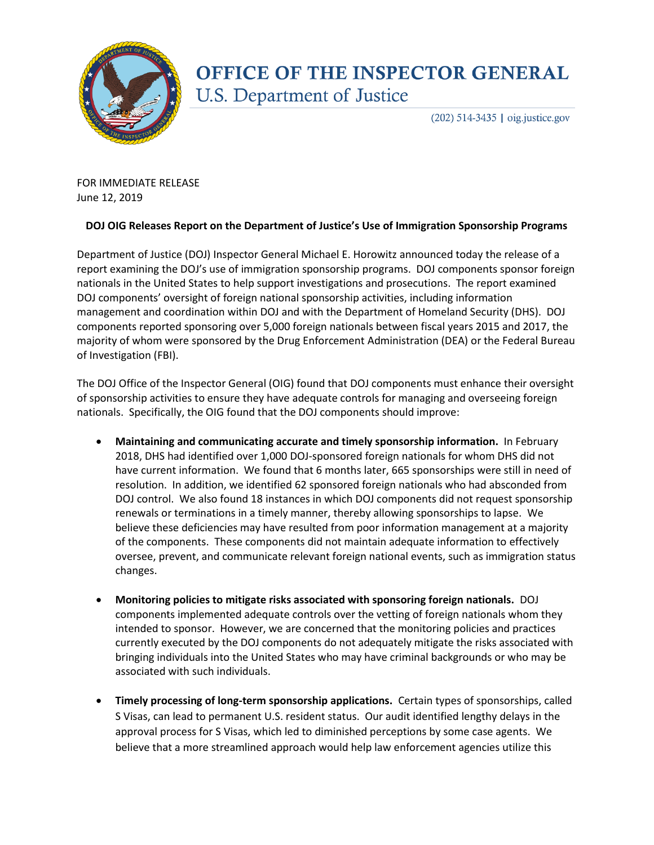

## **OFFICE OF THE INSPECTOR GENERAL U.S. Department of Justice**

 $(202)$  514-3435 | oig.justice.gov

FOR IMMEDIATE RELEASE June 12, 2019

## **DOJ OIG Releases Report on the Department of Justice's Use of Immigration Sponsorship Programs**

Department of Justice (DOJ) Inspector General Michael E. Horowitz announced today the release of a report examining the DOJ's use of immigration sponsorship programs. DOJ components sponsor foreign nationals in the United States to help support investigations and prosecutions. The report examined DOJ components' oversight of foreign national sponsorship activities, including information management and coordination within DOJ and with the Department of Homeland Security (DHS). DOJ components reported sponsoring over 5,000 foreign nationals between fiscal years 2015 and 2017, the majority of whom were sponsored by the Drug Enforcement Administration (DEA) or the Federal Bureau of Investigation (FBI).

The DOJ Office of the Inspector General (OIG) found that DOJ components must enhance their oversight of sponsorship activities to ensure they have adequate controls for managing and overseeing foreign nationals. Specifically, the OIG found that the DOJ components should improve:

- **Maintaining and communicating accurate and timely sponsorship information.** In February 2018, DHS had identified over 1,000 DOJ-sponsored foreign nationals for whom DHS did not have current information. We found that 6 months later, 665 sponsorships were still in need of resolution. In addition, we identified 62 sponsored foreign nationals who had absconded from DOJ control. We also found 18 instances in which DOJ components did not request sponsorship renewals or terminations in a timely manner, thereby allowing sponsorships to lapse. We believe these deficiencies may have resulted from poor information management at a majority of the components. These components did not maintain adequate information to effectively oversee, prevent, and communicate relevant foreign national events, such as immigration status changes.
- **Monitoring policies to mitigate risks associated with sponsoring foreign nationals.** DOJ components implemented adequate controls over the vetting of foreign nationals whom they intended to sponsor. However, we are concerned that the monitoring policies and practices currently executed by the DOJ components do not adequately mitigate the risks associated with bringing individuals into the United States who may have criminal backgrounds or who may be associated with such individuals.
- **Timely processing of long-term sponsorship applications.** Certain types of sponsorships, called S Visas, can lead to permanent U.S. resident status. Our audit identified lengthy delays in the approval process for S Visas, which led to diminished perceptions by some case agents. We believe that a more streamlined approach would help law enforcement agencies utilize this